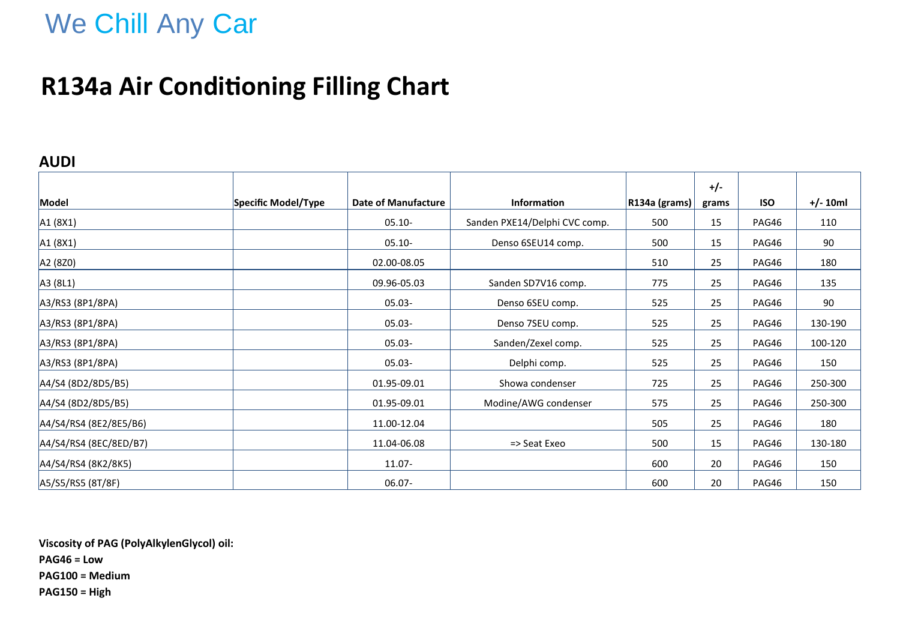# We Chill Any Car

### **R134a Air Conditioning Filling Chart**

#### **AUDI**

|                        |                     |                            |                               |                      | $+/-$ |            |            |
|------------------------|---------------------|----------------------------|-------------------------------|----------------------|-------|------------|------------|
| Model                  | Specific Model/Type | <b>Date of Manufacture</b> | <b>Information</b>            | $ R134a$ (grams) $ $ | grams | <b>ISO</b> | $+/- 10ml$ |
| A1 (8X1)               |                     | $05.10 -$                  | Sanden PXE14/Delphi CVC comp. | 500                  | 15    | PAG46      | 110        |
| A1 (8X1)               |                     | $05.10 -$                  | Denso 6SEU14 comp.            | 500                  | 15    | PAG46      | 90         |
| A2 (8Z0)               |                     | 02.00-08.05                |                               | 510                  | 25    | PAG46      | 180        |
| A3 (8L1)               |                     | 09.96-05.03                | Sanden SD7V16 comp.           | 775                  | 25    | PAG46      | 135        |
| A3/RS3 (8P1/8PA)       |                     | $05.03 -$                  | Denso 6SEU comp.              | 525                  | 25    | PAG46      | 90         |
| A3/RS3 (8P1/8PA)       |                     | $05.03 -$                  | Denso 7SEU comp.              | 525                  | 25    | PAG46      | 130-190    |
| A3/RS3 (8P1/8PA)       |                     | $05.03 -$                  | Sanden/Zexel comp.            | 525                  | 25    | PAG46      | 100-120    |
| A3/RS3 (8P1/8PA)       |                     | $05.03 -$                  | Delphi comp.                  | 525                  | 25    | PAG46      | 150        |
| A4/S4 (8D2/8D5/B5)     |                     | 01.95-09.01                | Showa condenser               | 725                  | 25    | PAG46      | 250-300    |
| A4/S4 (8D2/8D5/B5)     |                     | 01.95-09.01                | Modine/AWG condenser          | 575                  | 25    | PAG46      | 250-300    |
| A4/S4/RS4 (8E2/8E5/B6) |                     | 11.00-12.04                |                               | 505                  | 25    | PAG46      | 180        |
| A4/S4/RS4 (8EC/8ED/B7) |                     | 11.04-06.08                | => Seat Exeo                  | 500                  | 15    | PAG46      | 130-180    |
| A4/S4/RS4 (8K2/8K5)    |                     | 11.07-                     |                               | 600                  | 20    | PAG46      | 150        |
| A5/S5/RS5 (8T/8F)      |                     | 06.07-                     |                               | 600                  | 20    | PAG46      | 150        |

**Viscosity of PAG (PolyAlkylenGlycol) oil: PAG46 = Low PAG100 = Medium PAG150 = High**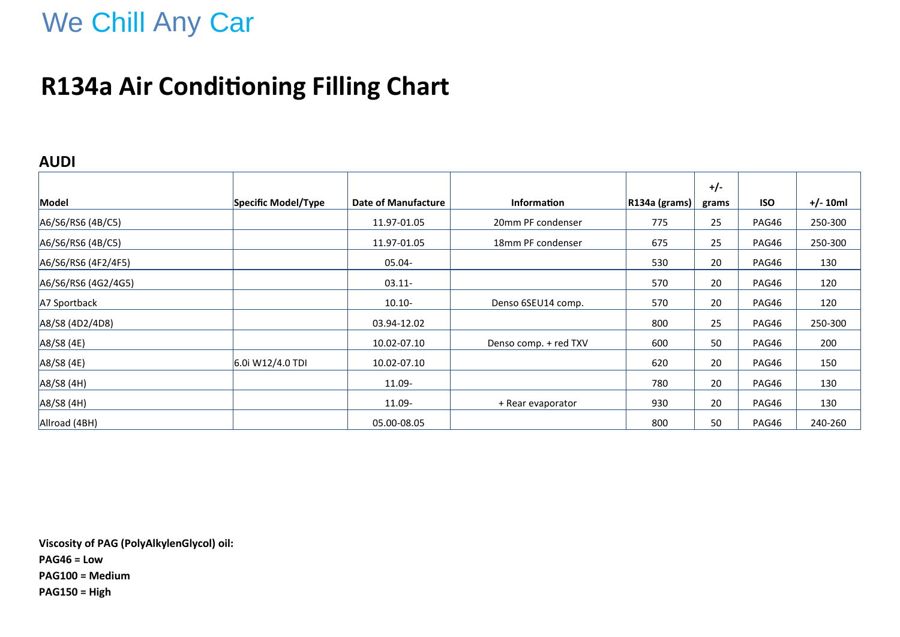## We Chill Any Car

### **R134a Air Conditioning Filling Chart**

#### **AUDI**

|                     |                     |                            |                       |               | $+/-$ |            |            |
|---------------------|---------------------|----------------------------|-----------------------|---------------|-------|------------|------------|
| Model               | Specific Model/Type | <b>Date of Manufacture</b> | <b>Information</b>    | R134a (grams) | grams | <b>ISO</b> | $+/- 10ml$ |
| A6/S6/RS6 (4B/C5)   |                     | 11.97-01.05                | 20mm PF condenser     | 775           | 25    | PAG46      | 250-300    |
| A6/S6/RS6 (4B/C5)   |                     | 11.97-01.05                | 18mm PF condenser     | 675           | 25    | PAG46      | 250-300    |
| A6/S6/RS6 (4F2/4F5) |                     | 05.04-                     |                       | 530           | 20    | PAG46      | 130        |
| A6/S6/RS6 (4G2/4G5) |                     | $03.11 -$                  |                       | 570           | 20    | PAG46      | 120        |
| A7 Sportback        |                     | $10.10 -$                  | Denso 6SEU14 comp.    | 570           | 20    | PAG46      | 120        |
| A8/S8 (4D2/4D8)     |                     | 03.94-12.02                |                       | 800           | 25    | PAG46      | 250-300    |
| A8/S8 (4E)          |                     | 10.02-07.10                | Denso comp. + red TXV | 600           | 50    | PAG46      | 200        |
| A8/S8 (4E)          | 6.0i W12/4.0 TDI    | 10.02-07.10                |                       | 620           | 20    | PAG46      | 150        |
| A8/S8 (4H)          |                     | 11.09-                     |                       | 780           | 20    | PAG46      | 130        |
| A8/S8 (4H)          |                     | 11.09-                     | + Rear evaporator     | 930           | 20    | PAG46      | 130        |
| Allroad (4BH)       |                     | 05.00-08.05                |                       | 800           | 50    | PAG46      | 240-260    |

**Viscosity of PAG (PolyAlkylenGlycol) oil: PAG46 = Low PAG100 = Medium PAG150 = High**